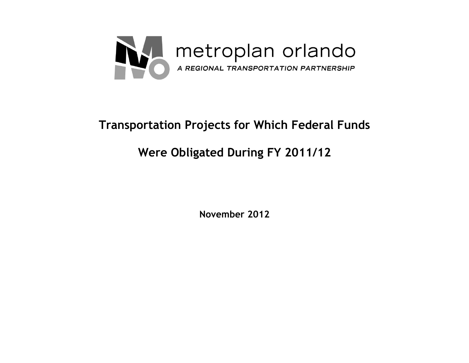

# **Transportation Projects for Which Federal Funds**

# **Were Obligated During FY 2011/12**

**November 2012**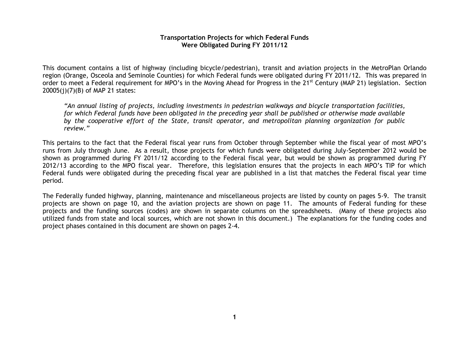#### **Transportation Projects for which Federal Funds Were Obligated During FY 2011/12**

This document contains a list of highway (including bicycle/pedestrian), transit and aviation projects in the MetroPlan Orlando region (Orange, Osceola and Seminole Counties) for which Federal funds were obligated during FY 2011/12. This was prepared in order to meet a Federal requirement for MPO's in the Moving Ahead for Progress in the 21<sup>st</sup> Century (MAP 21) legislation. Section 20005(j)(7)(B) of MAP 21 states:

*"An annual listing of projects, including investments in pedestrian walkways and bicycle transportation facilities, for which Federal funds have been obligated in the preceding year shall be published or otherwise made available by the cooperative effort of the State, transit operator, and metropolitan planning organization for public review."*

This pertains to the fact that the Federal fiscal year runs from October through September while the fiscal year of most MPO's runs from July through June. As a result, those projects for which funds were obligated during July-September 2012 would be shown as programmed during FY 2011/12 according to the Federal fiscal year, but would be shown as programmed during FY 2012/13 according to the MPO fiscal year. Therefore, this legislation ensures that the projects in each MPO's TIP for which Federal funds were obligated during the preceding fiscal year are published in a list that matches the Federal fiscal year time period.

The Federally funded highway, planning, maintenance and miscellaneous projects are listed by county on pages 5-9. The transit projects are shown on page 10, and the aviation projects are shown on page 11. The amounts of Federal funding for these projects and the funding sources (codes) are shown in separate columns on the spreadsheets. (Many of these projects also utilized funds from state and local sources, which are not shown in this document.) The explanations for the funding codes and project phases contained in this document are shown on pages 2-4.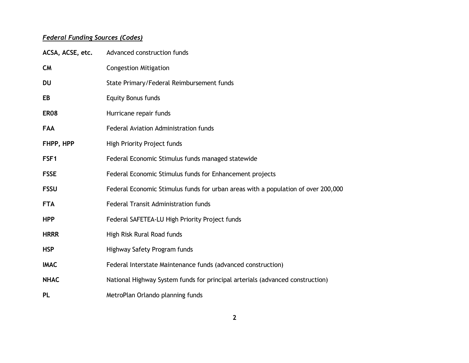## *Federal Funding Sources (Codes)*

| ACSA, ACSE, etc. | Advanced construction funds                                                       |
|------------------|-----------------------------------------------------------------------------------|
| <b>CM</b>        | <b>Congestion Mitigation</b>                                                      |
| <b>DU</b>        | State Primary/Federal Reimbursement funds                                         |
| EB               | <b>Equity Bonus funds</b>                                                         |
| ER <sub>08</sub> | Hurricane repair funds                                                            |
| <b>FAA</b>       | Federal Aviation Administration funds                                             |
| FHPP, HPP        | High Priority Project funds                                                       |
| FSF <sub>1</sub> | Federal Economic Stimulus funds managed statewide                                 |
| <b>FSSE</b>      | Federal Economic Stimulus funds for Enhancement projects                          |
| <b>FSSU</b>      | Federal Economic Stimulus funds for urban areas with a population of over 200,000 |
| <b>FTA</b>       | Federal Transit Administration funds                                              |
| <b>HPP</b>       | Federal SAFETEA-LU High Priority Project funds                                    |
| <b>HRRR</b>      | High Risk Rural Road funds                                                        |
| <b>HSP</b>       | Highway Safety Program funds                                                      |
| <b>IMAC</b>      | Federal Interstate Maintenance funds (advanced construction)                      |
| <b>NHAC</b>      | National Highway System funds for principal arterials (advanced construction)     |
| <b>PL</b>        | MetroPlan Orlando planning funds                                                  |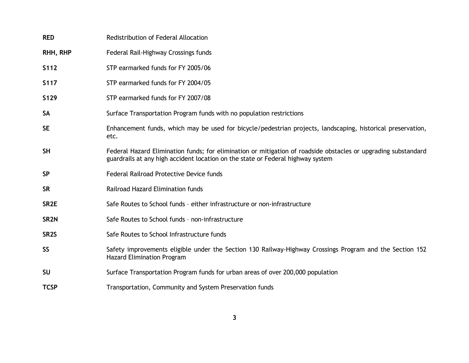| <b>RED</b>        | Redistribution of Federal Allocation                                                                                                                                                              |
|-------------------|---------------------------------------------------------------------------------------------------------------------------------------------------------------------------------------------------|
| RHH, RHP          | Federal Rail-Highway Crossings funds                                                                                                                                                              |
| S112              | STP earmarked funds for FY 2005/06                                                                                                                                                                |
| <b>S117</b>       | STP earmarked funds for FY 2004/05                                                                                                                                                                |
| S <sub>129</sub>  | STP earmarked funds for FY 2007/08                                                                                                                                                                |
| <b>SA</b>         | Surface Transportation Program funds with no population restrictions                                                                                                                              |
| <b>SE</b>         | Enhancement funds, which may be used for bicycle/pedestrian projects, landscaping, historical preservation,<br>etc.                                                                               |
| <b>SH</b>         | Federal Hazard Elimination funds; for elimination or mitigation of roadside obstacles or upgrading substandard<br>guardrails at any high accident location on the state or Federal highway system |
| <b>SP</b>         | Federal Railroad Protective Device funds                                                                                                                                                          |
| <b>SR</b>         | Railroad Hazard Elimination funds                                                                                                                                                                 |
| SR <sub>2</sub> E | Safe Routes to School funds - either infrastructure or non-infrastructure                                                                                                                         |
| SR <sub>2N</sub>  | Safe Routes to School funds - non-infrastructure                                                                                                                                                  |
| SR <sub>2</sub> S | Safe Routes to School Infrastructure funds                                                                                                                                                        |
| <b>SS</b>         | Safety improvements eligible under the Section 130 Railway-Highway Crossings Program and the Section 152<br><b>Hazard Elimination Program</b>                                                     |
| <b>SU</b>         | Surface Transportation Program funds for urban areas of over 200,000 population                                                                                                                   |
| <b>TCSP</b>       | Transportation, Community and System Preservation funds                                                                                                                                           |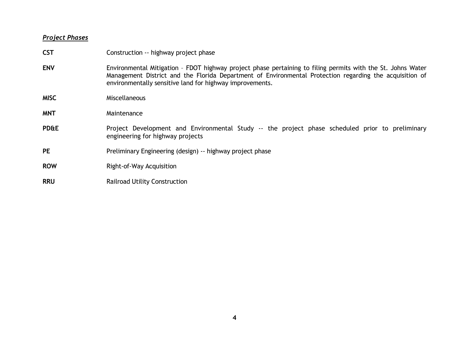### *Project Phases*

| <b>CST</b>      | Construction -- highway project phase                                                                                                                                                                                                                                              |  |  |
|-----------------|------------------------------------------------------------------------------------------------------------------------------------------------------------------------------------------------------------------------------------------------------------------------------------|--|--|
| <b>ENV</b>      | Environmental Mitigation - FDOT highway project phase pertaining to filing permits with the St. Johns Water<br>Management District and the Florida Department of Environmental Protection regarding the acquisition of<br>environmentally sensitive land for highway improvements. |  |  |
| <b>MISC</b>     | <b>Miscellaneous</b>                                                                                                                                                                                                                                                               |  |  |
| <b>MNT</b>      | Maintenance                                                                                                                                                                                                                                                                        |  |  |
| <b>PD&amp;E</b> | Project Development and Environmental Study -- the project phase scheduled prior to preliminary<br>engineering for highway projects                                                                                                                                                |  |  |
| <b>PE</b>       | Preliminary Engineering (design) -- highway project phase                                                                                                                                                                                                                          |  |  |
| <b>ROW</b>      | Right-of-Way Acquisition                                                                                                                                                                                                                                                           |  |  |
| <b>RRU</b>      | <b>Railroad Utility Construction</b>                                                                                                                                                                                                                                               |  |  |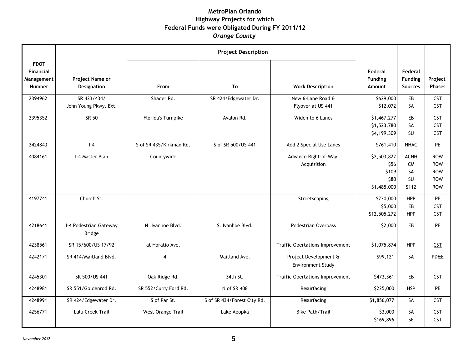#### **MetroPlan Orlando Highway Projects for which Federal Funds were Obligated During FY 2011/12** *Orange County*

|                                                                |                                         | <b>Project Description</b> |                             |                                            |                                                     |                                             |                                                                    |
|----------------------------------------------------------------|-----------------------------------------|----------------------------|-----------------------------|--------------------------------------------|-----------------------------------------------------|---------------------------------------------|--------------------------------------------------------------------|
| <b>FDOT</b><br><b>Financial</b><br>Management<br><b>Number</b> | Project Name or<br>Designation          | From                       | To                          | <b>Work Description</b>                    | Federal<br><b>Funding</b><br>Amount                 | Federal<br><b>Funding</b><br><b>Sources</b> | Project<br><b>Phases</b>                                           |
| 2394962                                                        | SR 423/434/<br>John Young Pkwy. Ext.    | Shader Rd.                 | SR 424/Edgewater Dr.        | New 6-Lane Road &<br>Flyover at US 441     | \$629,000<br>\$12,072                               | EB<br><b>SA</b>                             | <b>CST</b><br><b>CST</b>                                           |
| 2395352                                                        | SR 50                                   | Florida's Turnpike         | Avalon Rd.                  | Widen to 6 Lanes                           | \$1,467,277<br>\$1,523,780<br>\$4,199,309           | EB<br>SA<br><b>SU</b>                       | <b>CST</b><br><b>CST</b><br><b>CST</b>                             |
| 2424843                                                        | $I - 4$                                 | S of SR 435/Kirkman Rd.    | S of SR 500/US 441          | Add 2 Special Use Lanes                    | \$761,410                                           | <b>NHAC</b>                                 | <b>PE</b>                                                          |
| 4084161                                                        | I-4 Master Plan                         | Countywide                 |                             | Advance Right-of-Way<br>Acquisition        | \$2,503,822<br>\$56<br>\$109<br>\$80<br>\$1,485,000 | <b>ACNH</b><br>CM<br>SA<br>SU<br>S112       | <b>ROW</b><br><b>ROW</b><br><b>ROW</b><br><b>ROW</b><br><b>ROW</b> |
| 4197741                                                        | Church St.                              |                            |                             | Streetscaping                              | \$230,000<br>\$5,000<br>\$12,505,272                | <b>HPP</b><br>EB<br><b>HPP</b>              | PE<br><b>CST</b><br><b>CST</b>                                     |
| 4218641                                                        | I-4 Pedestrian Gateway<br><b>Bridge</b> | N. Ivanhoe Blvd.           | S. Ivanhoe Blvd.            | Pedestrian Overpass                        | \$2,000                                             | EB                                          | <b>PE</b>                                                          |
| 4238561                                                        | SR 15/600/US 17/92                      | at Horatio Ave.            |                             | <b>Traffic Opertations Improvement</b>     | \$1,075,874                                         | <b>HPP</b>                                  | <b>CST</b>                                                         |
| 4242171                                                        | SR 414/Maitland Blvd.                   | $I - 4$                    | Maitland Ave.               | Project Development &<br>Environment Study | \$99,121                                            | SA                                          | <b>PD&amp;E</b>                                                    |
| 4245301                                                        | SR 500/US 441                           | Oak Ridge Rd.              | 34th St.                    | <b>Traffic Opertations Improvement</b>     | \$473,361                                           | EB                                          | <b>CST</b>                                                         |
| 4248981                                                        | SR 551/Goldenrod Rd.                    | SR 552/Curry Ford Rd.      | N of SR 408                 | Resurfacing                                | \$225,000                                           | <b>HSP</b>                                  | PE                                                                 |
| 4248991                                                        | SR 424/Edgewater Dr.                    | S of Par St.               | S of SR 434/Forest City Rd. | Resurfacing                                | \$1,856,077                                         | <b>SA</b>                                   | <b>CST</b>                                                         |
| 4256771                                                        | Lulu Creek Trail                        | West Orange Trail          | Lake Apopka                 | <b>Bike Path/Trail</b>                     | \$3,000<br>\$169,896                                | SA<br><b>SE</b>                             | <b>CST</b><br><b>CST</b>                                           |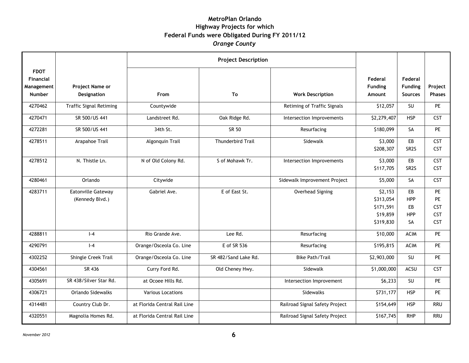#### **MetroPlan Orlando Highway Projects for which Federal Funds were Obligated During FY 2011/12** *Orange County*

|                                                         |                                | <b>Project Description</b>   |                      |                                |                                     |                                             |                          |
|---------------------------------------------------------|--------------------------------|------------------------------|----------------------|--------------------------------|-------------------------------------|---------------------------------------------|--------------------------|
| <b>FDOT</b><br>Financial<br>Management<br><b>Number</b> | Project Name or<br>Designation | From                         | To                   | <b>Work Description</b>        | Federal<br><b>Funding</b><br>Amount | Federal<br><b>Funding</b><br><b>Sources</b> | Project<br><b>Phases</b> |
| 4270462                                                 | <b>Traffic Signal Retiming</b> | Countywide                   |                      | Retiming of Traffic Signals    | \$12,057                            | SU                                          | PE                       |
| 4270471                                                 | SR 500/US 441                  | Landstreet Rd.               | Oak Ridge Rd.        | Intersection Improvements      | \$2,279,407                         | <b>HSP</b>                                  | <b>CST</b>               |
|                                                         |                                |                              |                      |                                |                                     |                                             |                          |
| 4272281                                                 | SR 500/US 441                  | 34th St.                     | SR 50                | Resurfacing                    | \$180,099                           | SA                                          | PE                       |
| 4278511                                                 | Arapahoe Trail                 | Algonquin Trail              | Thunderbird Trail    | Sidewalk                       | \$3,000                             | EB                                          | <b>CST</b>               |
|                                                         |                                |                              |                      |                                | \$208,307                           | SR <sub>2</sub> S                           | <b>CST</b>               |
| 4278512                                                 | N. Thistle Ln.                 | N of Old Colony Rd.          | S of Mohawk Tr.      | Intersection Improvements      | \$3,000                             | EB                                          | CST                      |
|                                                         |                                |                              |                      |                                | \$117,705                           | SR <sub>2S</sub>                            | <b>CST</b>               |
| 4280461                                                 | Orlando                        | Citywide                     |                      | Sidewalk Improvement Project   | \$5,000                             | SA                                          | <b>CST</b>               |
| 4283711                                                 | Eatonville Gateway             | Gabriel Ave.                 | E of East St.        | Overhead Signing               | \$2,153                             | EB                                          | PE                       |
|                                                         | (Kennedy Blvd.)                |                              |                      |                                | \$313,054                           | <b>HPP</b>                                  | PE.                      |
|                                                         |                                |                              |                      |                                | \$171,591                           | EB                                          | CST                      |
|                                                         |                                |                              |                      |                                | \$19,859                            | <b>HPP</b>                                  | CST                      |
|                                                         |                                |                              |                      |                                | \$319,830                           | <b>SA</b>                                   | <b>CST</b>               |
| 4288811                                                 | $I - 4$                        | Rio Grande Ave.              | Lee Rd.              | Resurfacing                    | \$10,000                            | <b>ACIM</b>                                 | <b>PE</b>                |
| 4290791                                                 | $I - 4$                        | Orange/Osceola Co. Line      | E of SR 536          | Resurfacing                    | \$195,815                           | <b>ACIM</b>                                 | PE                       |
| 4302252                                                 | Shingle Creek Trail            | Orange/Osceola Co. Line      | SR 482/Sand Lake Rd. | <b>Bike Path/Trail</b>         | \$2,903,000                         | SU                                          | <b>PE</b>                |
| 4304561                                                 | SR 436                         | Curry Ford Rd.               | Old Cheney Hwy.      | Sidewalk                       | \$1,000,000                         | ACSU                                        | CST                      |
| 4305691                                                 | SR 438/Silver Star Rd.         | at Ocoee Hills Rd.           |                      | Intersection Improvement       | \$6,233                             | SU                                          | <b>PE</b>                |
| 4306721                                                 | Orlando Sidewalks              | <b>Various Locations</b>     |                      | Sidewalks                      | \$731,177                           | <b>HSP</b>                                  | PE.                      |
| 4314481                                                 | Country Club Dr.               | at Florida Central Rail Line |                      | Railroad Signal Safety Project | \$154,649                           | <b>HSP</b>                                  | <b>RRU</b>               |
| 4320551                                                 | Magnolia Homes Rd.             | at Florida Central Rail Line |                      | Railroad Signal Safety Project | \$167,745                           | <b>RHP</b>                                  | <b>RRU</b>               |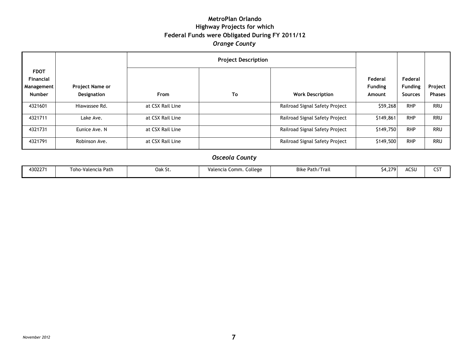#### **MetroPlan Orlando Highway Projects for which Federal Funds were Obligated During FY 2011/12** *Orange County*

|                                                                       |                                              |                  | <b>Project Description</b>     |                                |                                     |                                             |                          |
|-----------------------------------------------------------------------|----------------------------------------------|------------------|--------------------------------|--------------------------------|-------------------------------------|---------------------------------------------|--------------------------|
| <b>FDOT</b><br><b>Financial</b><br><b>Management</b><br><b>Number</b> | <b>Project Name or</b><br><b>Designation</b> | From             | To                             | <b>Work Description</b>        | Federal<br><b>Funding</b><br>Amount | Federal<br><b>Funding</b><br><b>Sources</b> | Project<br><b>Phases</b> |
| 4321601                                                               | Hiawassee Rd.                                | at CSX Rail Line |                                | Railroad Signal Safety Project | \$59,268                            | <b>RHP</b>                                  | <b>RRU</b>               |
| 4321711                                                               | Lake Ave.                                    | at CSX Rail Line | Railroad Signal Safety Project |                                | \$149,861                           | <b>RHP</b>                                  | <b>RRU</b>               |
| 4321731                                                               | Eunice Ave. N                                | at CSX Rail Line |                                | Railroad Signal Safety Project | \$149,750                           | <b>RHP</b>                                  | <b>RRU</b>               |
| 4321791                                                               | Robinson Ave.                                | at CSX Rail Line |                                | Railroad Signal Safety Project | \$149,500                           | <b>RHP</b>                                  | <b>RRU</b>               |

#### *Osceola County*

| 30227 | Path<br>l oho<br>·Valencia | Oak St. | college<br>Comm.<br>Valencia | - •<br>' I rail<br>Path <sub>/</sub><br>Bike | ו 170<br>$\sim$<br>H.L. | $- - -$<br>ີ່<br>ישרי | ---<br>ີ |
|-------|----------------------------|---------|------------------------------|----------------------------------------------|-------------------------|-----------------------|----------|
|       |                            |         |                              |                                              |                         |                       |          |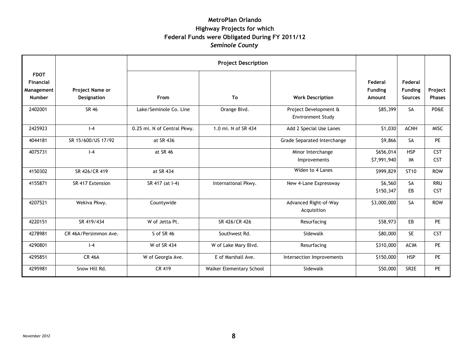#### **MetroPlan Orlando Highway Projects for which Federal Funds were Obligated During FY 2011/12** *Seminole County*

|             |                       | <b>Project Description</b>  |                          |                                      |                |                  |                 |
|-------------|-----------------------|-----------------------------|--------------------------|--------------------------------------|----------------|------------------|-----------------|
| <b>FDOT</b> |                       |                             |                          |                                      |                |                  |                 |
| Financial   |                       |                             |                          |                                      | Federal        | Federal          |                 |
| Management  | Project Name or       |                             |                          |                                      | <b>Funding</b> | <b>Funding</b>   | Project         |
| Number      | <b>Designation</b>    | From                        | To                       | <b>Work Description</b>              | Amount         | <b>Sources</b>   | <b>Phases</b>   |
| 2402001     | SR 46                 | Lake/Seminole Co. Line      | Orange Blvd.             | Project Development &                | \$85,399       | SA               | <b>PD&amp;E</b> |
|             |                       |                             |                          | <b>Environment Study</b>             |                |                  |                 |
| 2425923     | $I - 4$               | 0.25 mi. N of Central Pkwy. | 1.0 mi. N of SR 434      | Add 2 Special Use Lanes              | \$1,030        | <b>ACNH</b>      | <b>MISC</b>     |
| 4044181     | SR 15/600/US 17/92    | at SR 436                   |                          | Grade Separated Interchange          | \$9,866        | SA               | PE              |
| 4075731     | $-4$                  | at SR 46                    |                          | Minor Interchange                    | \$656,014      | <b>HSP</b>       | <b>CST</b>      |
|             |                       |                             |                          | Improvements                         | \$7,991,940    | IM               | <b>CST</b>      |
| 4150302     | SR 426/CR 419         | at SR 434                   |                          | Widen to 4 Lanes                     | \$999,829      | ST <sub>10</sub> | <b>ROW</b>      |
| 4155871     | SR 417 Extension      | SR 417 (at I-4)             | International Pkwy.      | New 4-Lane Expressway                | \$6,560        | SA               | <b>RRU</b>      |
|             |                       |                             |                          |                                      | \$150,347      | EB               | <b>CST</b>      |
| 4207521     | Wekiva Pkwy.          | Countywide                  |                          | Advanced Right-of-Way<br>Acquisition | \$3,000,000    | SA               | <b>ROW</b>      |
| 4220151     | SR 419/434            | W of Jetta Pt.              | SR 426/CR 426            | Resurfacing                          | \$58,973       | EB               | <b>PE</b>       |
| 4278981     | CR 46A/Persimmon Ave. | S of SR 46                  | Southwest Rd.            | Sidewalk                             | \$80,000       | <b>SE</b>        | <b>CST</b>      |
| 4290801     | $I - 4$               | W of SR 434                 | W of Lake Mary Blvd.     | Resurfacing                          | \$310,000      | <b>ACIM</b>      | <b>PE</b>       |
| 4295851     | <b>CR 46A</b>         | W of Georgia Ave.           | E of Marshall Ave.       | Intersection Improvements            | \$150,000      | <b>HSP</b>       | <b>PE</b>       |
| 4295981     | Snow Hill Rd.         | CR 419                      | Walker Elementary School | Sidewalk                             | \$50,000       | SR <sub>2E</sub> | PE              |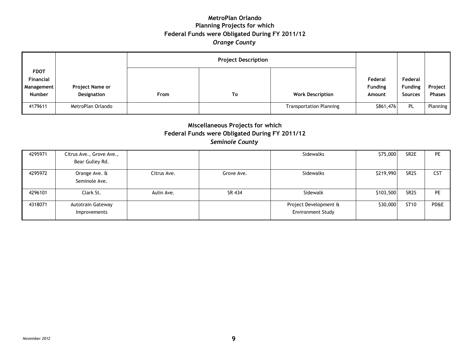#### **MetroPlan Orlando Planning Projects for which Federal Funds were Obligated During FY 2011/12** *Orange County*

|               |                   | <b>Project Description</b> |    |                                |                |                |               |
|---------------|-------------------|----------------------------|----|--------------------------------|----------------|----------------|---------------|
| <b>FDOT</b>   |                   |                            |    |                                |                |                |               |
| Financial     |                   |                            |    |                                | Federal        | Federal        |               |
| Management    | Project Name or   |                            |    |                                | <b>Funding</b> | <b>Funding</b> | Project       |
| <b>Number</b> | Designation       | From                       | To | <b>Work Description</b>        | Amount         | <b>Sources</b> | <b>Phases</b> |
| 4179611       | MetroPlan Orlando |                            |    | <b>Transportation Planning</b> | \$861,476      | PL             | Planning      |

#### **Miscellaneous Projects for which Federal Funds were Obligated During FY 2011/12** *Seminole County*

| 4295971 | Citrus Ave., Grove Ave., |             |            | Sidewalks             | \$75,000  | SR <sub>2</sub> E | <b>PE</b>  |
|---------|--------------------------|-------------|------------|-----------------------|-----------|-------------------|------------|
|         | Bear Gulley Rd.          |             |            |                       |           |                   |            |
| 4295972 | Orange Ave. &            | Citrus Ave. | Grove Ave. | Sidewalks             | \$219,990 | SR <sub>2</sub> S | <b>CST</b> |
|         | Seminole Ave.            |             |            |                       |           |                   |            |
| 4296101 | Clark St.                | Aulin Ave.  | SR 434     | Sidewalk              | \$103,500 | SR <sub>2</sub> S | PE         |
| 4318071 | Autotrain Gateway        |             |            | Project Development & | \$30,000  | ST <sub>10</sub>  | PD&E       |
|         | Improvements             |             |            | Environment Study     |           |                   |            |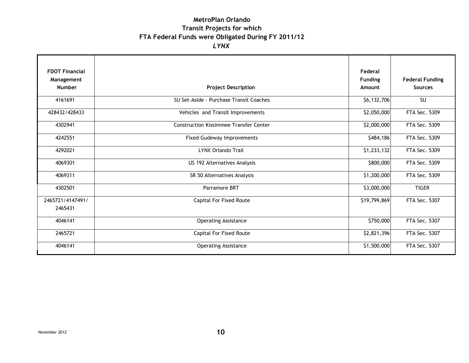### **MetroPlan Orlando Transit Projects for which FTA Federal Funds were Obligated During FY 2011/12** *LYNX*

| <b>FDOT Financial</b> |                                               | Federal        |                        |
|-----------------------|-----------------------------------------------|----------------|------------------------|
| Management            |                                               | <b>Funding</b> | <b>Federal Funding</b> |
| <b>Number</b>         | <b>Project Description</b>                    | Amount         | <b>Sources</b>         |
| 4161691               | SU Set-Aside - Purchase Transit Coaches       | \$6,132,706    | SU                     |
| 428432/428433         | Vehicles and Transit Improvements             | \$2,050,000    | FTA Sec. 5309          |
| 4302941               | <b>Construction Kissimmee Transfer Center</b> | \$2,000,000    | FTA Sec. 5309          |
| 4242551               | Fixed Gudeway Improvements                    | \$484,186      | FTA Sec. 5309          |
| 4292021               | <b>LYNX Orlando Trail</b>                     | \$1,233,132    | FTA Sec. 5309          |
| 4069301               | US 192 Alternatives Analysis                  | \$800,000      | FTA Sec. 5309          |
| 4069311               | SR 50 Alternatives Analysis                   | \$1,200,000    | FTA Sec. 5309          |
| 4302501               | Parramore BRT                                 | \$3,000,000    | <b>TIGER</b>           |
| 2465721/4147491/      | Capital For Fixed Route                       | \$19,799,869   | FTA Sec. 5307          |
| 2465431               |                                               |                |                        |
| 4046141               | <b>Operating Assistance</b>                   | \$750,000      | FTA Sec. 5307          |
| 2465721               | Capital For Fixed Route                       | \$2,821,396    | FTA Sec. 5307          |
| 4046141               | <b>Operating Assistance</b>                   | \$1,500,000    | FTA Sec. 5307          |